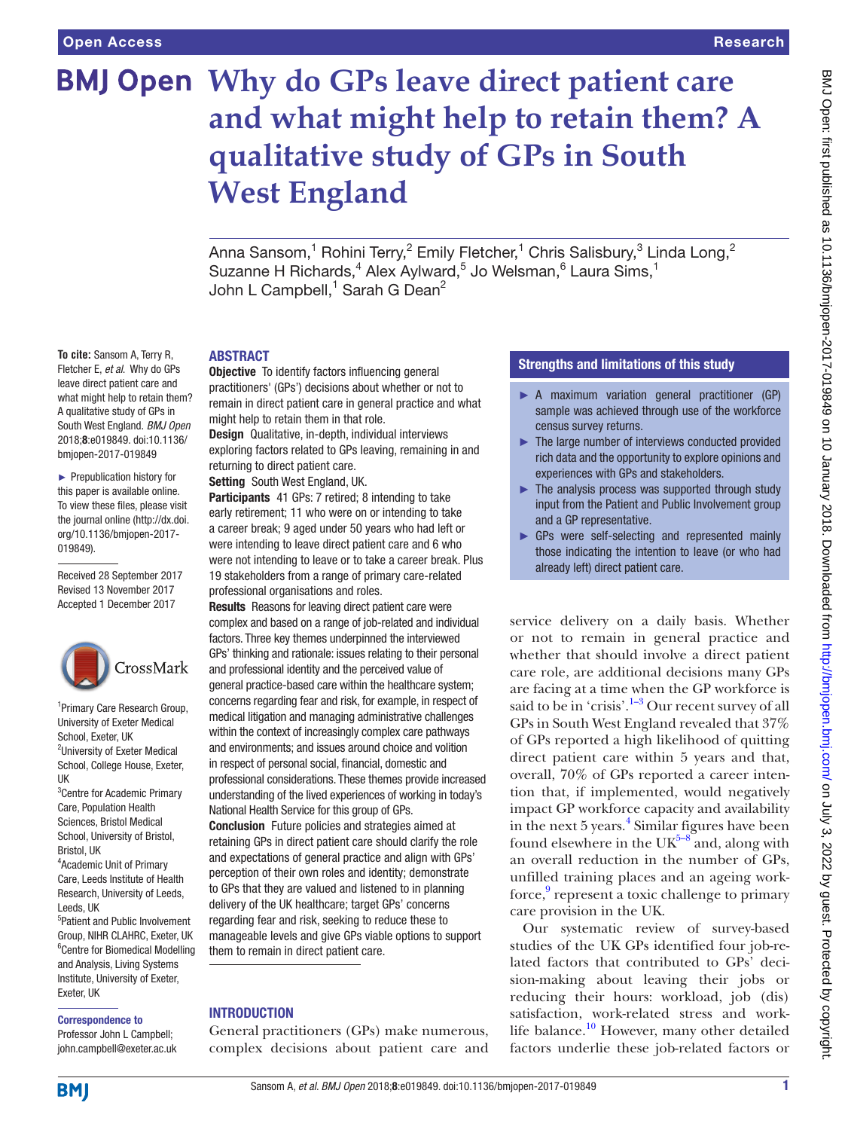**To cite:** Sansom A, Terry R, Fletcher E, *et al*. Why do GPs leave direct patient care and what might help to retain them? A qualitative study of GPs in South West England. *BMJ Open* 2018;8:e019849. doi:10.1136/ bmjopen-2017-019849 ► Prepublication history for this paper is available online. To view these files, please visit the journal online [\(http://dx.doi.](http://dx.doi.org/10.1136/bmjopen-2017-019849) [org/10.1136/bmjopen-2017-](http://dx.doi.org/10.1136/bmjopen-2017-019849)

Received 28 September 2017 Revised 13 November 2017 Accepted 1 December 2017

1 Primary Care Research Group, University of Exeter Medical School, Exeter, UK <sup>2</sup>University of Exeter Medical School, College House, Exeter,

CrossMark

3 Centre for Academic Primary Care, Population Health Sciences, Bristol Medical School, University of Bristol,

4 Academic Unit of Primary Care, Leeds Institute of Health Research, University of Leeds,

5 Patient and Public Involvement Group, NIHR CLAHRC, Exeter, UK <sup>6</sup> Centre for Biomedical Modelling and Analysis, Living Systems Institute, University of Exeter,

[019849\)](http://dx.doi.org/10.1136/bmjopen-2017-019849).

UK

Bristol, UK

Leeds, UK

Exeter, UK

Correspondence to Professor John L Campbell; john.campbell@exeter.ac.uk

# **BMJ Open Why do GPs leave direct patient care and what might help to retain them? A qualitative study of GPs in South West England**

Anna Sansom, $^1$  Rohini Terry, $^2$  Emily Fletcher, $^1$  Chris Salisbury, $^3$  Linda Long, $^2$ Suzanne H Richards, $^4$  Alex Aylward, $^5$  Jo Welsman, $^6$  Laura Sims, $^1$ John L Campbell,<sup>1</sup> Sarah G Dean<sup>2</sup>

#### **ABSTRACT**

**Objective** To identify factors influencing general practitioners' (GPs') decisions about whether or not to remain in direct patient care in general practice and what might help to retain them in that role.

Design Qualitative, in-depth, individual interviews exploring factors related to GPs leaving, remaining in and returning to direct patient care.

Setting South West England, UK.

Participants 41 GPs: 7 retired; 8 intending to take early retirement; 11 who were on or intending to take a career break; 9 aged under 50 years who had left or were intending to leave direct patient care and 6 who were not intending to leave or to take a career break. Plus 19 stakeholders from a range of primary care-related professional organisations and roles.

Results Reasons for leaving direct patient care were complex and based on a range of job-related and individual factors. Three key themes underpinned the interviewed GPs' thinking and rationale: issues relating to their personal and professional identity and the perceived value of general practice-based care within the healthcare system; concerns regarding fear and risk, for example, in respect of medical litigation and managing administrative challenges within the context of increasingly complex care pathways and environments; and issues around choice and volition in respect of personal social, financial, domestic and professional considerations. These themes provide increased understanding of the lived experiences of working in today's National Health Service for this group of GPs. Conclusion Future policies and strategies aimed at retaining GPs in direct patient care should clarify the role and expectations of general practice and align with GPs' perception of their own roles and identity; demonstrate to GPs that they are valued and listened to in planning delivery of the UK healthcare; target GPs' concerns regarding fear and risk, seeking to reduce these to manageable levels and give GPs viable options to support them to remain in direct patient care.

# **INTRODUCTION**

General practitioners (GPs) make numerous, complex decisions about patient care and

# Strengths and limitations of this study

- $\triangleright$  A maximum variation general practitioner (GP) sample was achieved through use of the workforce census survey returns.
- ► The large number of interviews conducted provided rich data and the opportunity to explore opinions and experiences with GPs and stakeholders.
- $\blacktriangleright$  The analysis process was supported through study input from the Patient and Public Involvement group and a GP representative.
- ► GPs were self-selecting and represented mainly those indicating the intention to leave (or who had already left) direct patient care.

service delivery on a daily basis. Whether or not to remain in general practice and whether that should involve a direct patient care role, are additional decisions many GPs are facing at a time when the GP workforce is said to be in 'crisis'.<sup>1-3</sup> Our recent survey of all GPs in South West England revealed that 37% of GPs reported a high likelihood of quitting direct patient care within 5 years and that, overall, 70% of GPs reported a career intention that, if implemented, would negatively impact GP workforce capacity and availability in the next 5 years.<sup>[4](#page-6-1)</sup> Similar figures have been found elsewhere in the  $UK<sup>5-8</sup>$  and, along with an overall reduction in the number of GPs, unfilled training places and an ageing work-force,<sup>[9](#page-7-1)</sup> represent a toxic challenge to primary care provision in the UK.

Our systematic review of survey-based studies of the UK GPs identified four job-related factors that contributed to GPs' decision-making about leaving their jobs or reducing their hours: workload, job (dis) satisfaction, work-related stress and worklife balance.<sup>10</sup> However, many other detailed factors underlie these job-related factors or

**BMI**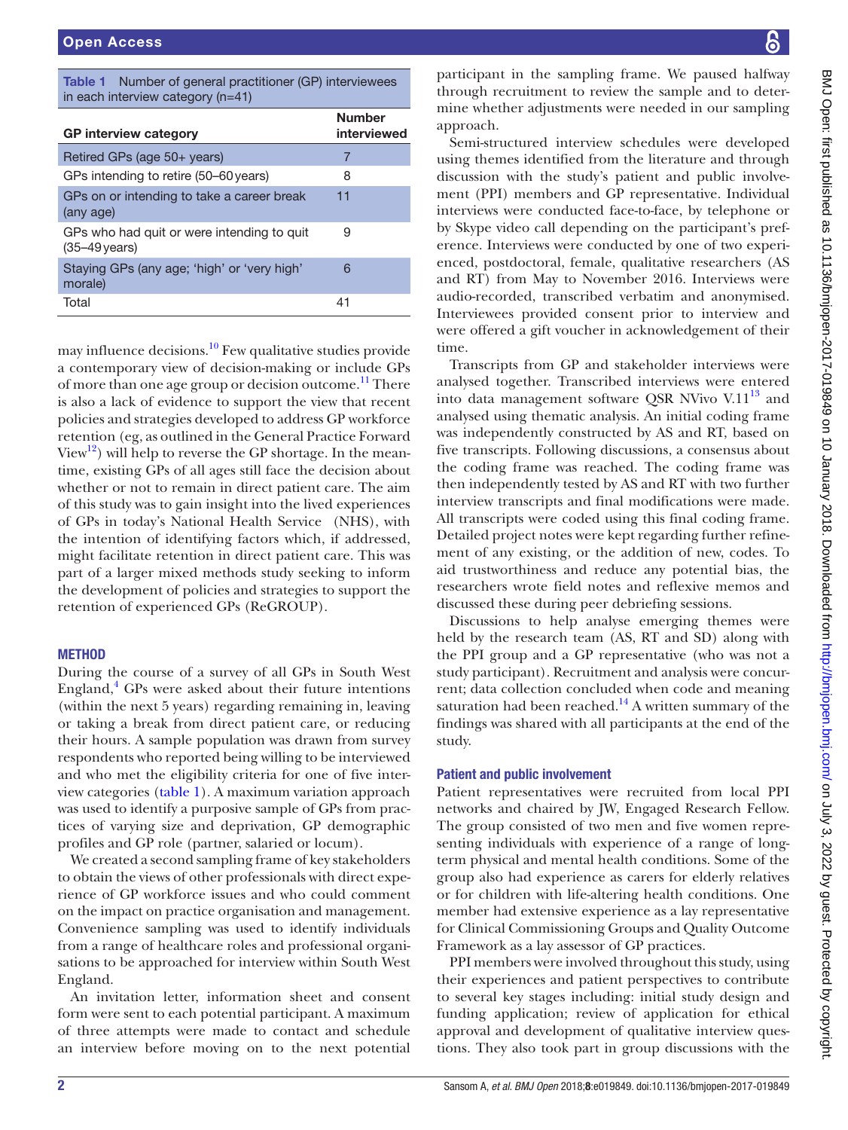#### <span id="page-1-0"></span>Table 1 Number of general practitioner (GP) interviewees in each interview category (n=41)

| <b>GP</b> interview category                                   | <b>Number</b><br>interviewed |
|----------------------------------------------------------------|------------------------------|
| Retired GPs (age 50+ years)                                    |                              |
| GPs intending to retire (50–60 years)                          | 8                            |
| GPs on or intending to take a career break<br>(any age)        | 11                           |
| GPs who had quit or were intending to quit<br>$(35-49)$ years) | 9                            |
| Staying GPs (any age; 'high' or 'very high'<br>morale)         | 6                            |
| Total                                                          | 41                           |

may influence decisions.<sup>10</sup> Few qualitative studies provide a contemporary view of decision-making or include GPs of more than one age group or decision outcome.<sup>11</sup> There is also a lack of evidence to support the view that recent policies and strategies developed to address GP workforce retention (eg, as outlined in the General Practice Forward View<sup>12</sup>) will help to reverse the GP shortage. In the meantime, existing GPs of all ages still face the decision about whether or not to remain in direct patient care. The aim of this study was to gain insight into the lived experiences of GPs in today's National Health Service (NHS), with the intention of identifying factors which, if addressed, might facilitate retention in direct patient care. This was part of a larger mixed methods study seeking to inform the development of policies and strategies to support the retention of experienced GPs (ReGROUP).

## **METHOD**

During the course of a survey of all GPs in South West England, $4$  GPs were asked about their future intentions (within the next 5 years) regarding remaining in, leaving or taking a break from direct patient care, or reducing their hours. A sample population was drawn from survey respondents who reported being willing to be interviewed and who met the eligibility criteria for one of five interview categories ([table](#page-1-0) 1). A maximum variation approach was used to identify a purposive sample of GPs from practices of varying size and deprivation, GP demographic profiles and GP role (partner, salaried or locum).

We created a second sampling frame of key stakeholders to obtain the views of other professionals with direct experience of GP workforce issues and who could comment on the impact on practice organisation and management. Convenience sampling was used to identify individuals from a range of healthcare roles and professional organisations to be approached for interview within South West England.

An invitation letter, information sheet and consent form were sent to each potential participant. A maximum of three attempts were made to contact and schedule an interview before moving on to the next potential

participant in the sampling frame. We paused halfway through recruitment to review the sample and to determine whether adjustments were needed in our sampling approach.

Semi-structured interview schedules were developed using themes identified from the literature and through discussion with the study's patient and public involvement (PPI) members and GP representative. Individual interviews were conducted face-to-face, by telephone or by Skype video call depending on the participant's preference. Interviews were conducted by one of two experienced, postdoctoral, female, qualitative researchers (AS and RT) from May to November 2016. Interviews were audio-recorded, transcribed verbatim and anonymised. Interviewees provided consent prior to interview and were offered a gift voucher in acknowledgement of their time.

Transcripts from GP and stakeholder interviews were analysed together. Transcribed interviews were entered into data management software QSR NVivo V.11 $<sup>13</sup>$  and</sup> analysed using thematic analysis. An initial coding frame was independently constructed by AS and RT, based on five transcripts. Following discussions, a consensus about the coding frame was reached. The coding frame was then independently tested by AS and RT with two further interview transcripts and final modifications were made. All transcripts were coded using this final coding frame. Detailed project notes were kept regarding further refinement of any existing, or the addition of new, codes. To aid trustworthiness and reduce any potential bias, the researchers wrote field notes and reflexive memos and discussed these during peer debriefing sessions.

Discussions to help analyse emerging themes were held by the research team (AS, RT and SD) along with the PPI group and a GP representative (who was not a study participant). Recruitment and analysis were concurrent; data collection concluded when code and meaning saturation had been reached.<sup>14</sup> A written summary of the findings was shared with all participants at the end of the study.

## Patient and public involvement

Patient representatives were recruited from local PPI networks and chaired by JW, Engaged Research Fellow. The group consisted of two men and five women representing individuals with experience of a range of longterm physical and mental health conditions. Some of the group also had experience as carers for elderly relatives or for children with life-altering health conditions. One member had extensive experience as a lay representative for Clinical Commissioning Groups and Quality Outcome Framework as a lay assessor of GP practices.

PPI members were involved throughout this study, using their experiences and patient perspectives to contribute to several key stages including: initial study design and funding application; review of application for ethical approval and development of qualitative interview questions. They also took part in group discussions with the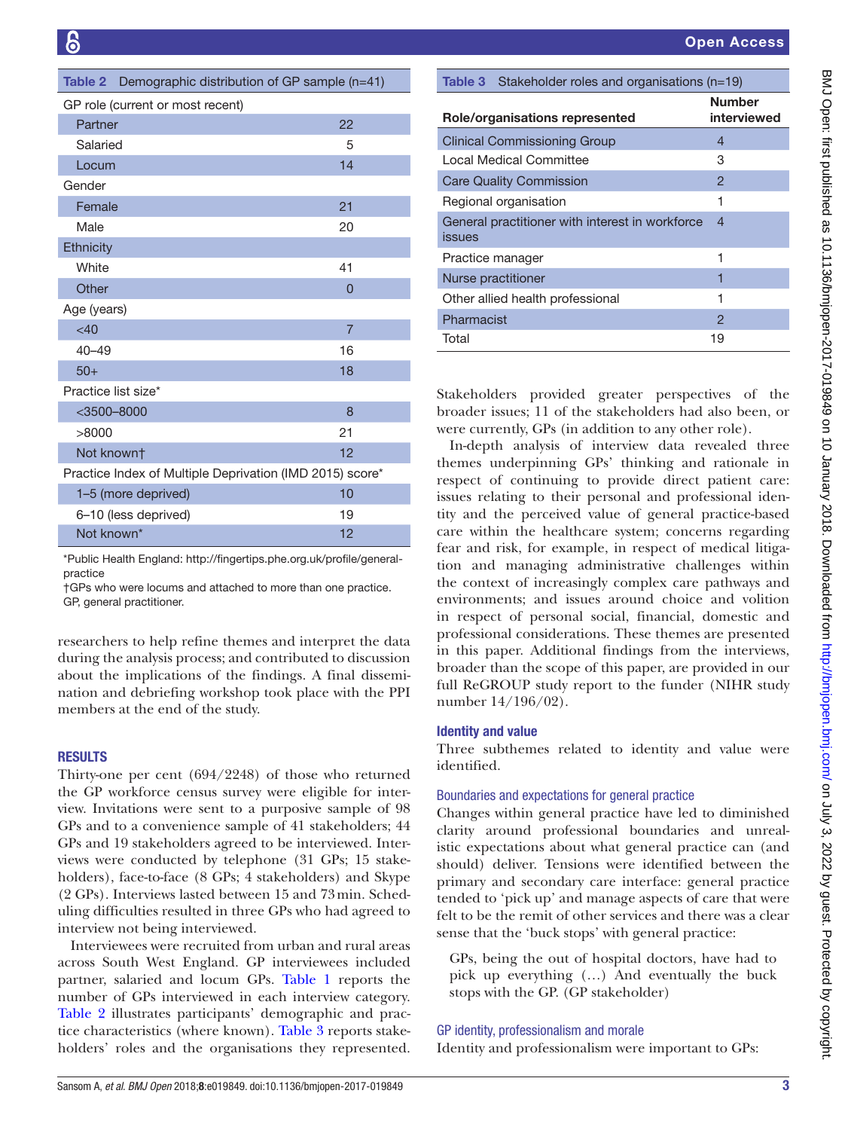<span id="page-2-0"></span>

| Table 2                                                  | Demographic distribution of GP sample (n=41) |  |  |  |
|----------------------------------------------------------|----------------------------------------------|--|--|--|
| GP role (current or most recent)                         |                                              |  |  |  |
| Partner                                                  | 22                                           |  |  |  |
| Salaried<br>5                                            |                                              |  |  |  |
| Locum                                                    | 14                                           |  |  |  |
| Gender                                                   |                                              |  |  |  |
| Female                                                   | 21                                           |  |  |  |
| Male                                                     | 20                                           |  |  |  |
| Ethnicity                                                |                                              |  |  |  |
| White                                                    | 41                                           |  |  |  |
| Other                                                    | 0                                            |  |  |  |
| Age (years)                                              |                                              |  |  |  |
| $<$ 40                                                   | $\overline{7}$                               |  |  |  |
| $40 - 49$                                                | 16                                           |  |  |  |
| $50+$                                                    | 18                                           |  |  |  |
| Practice list size*                                      |                                              |  |  |  |
| $<$ 3500-8000                                            | 8                                            |  |  |  |
| >8000                                                    | 21                                           |  |  |  |
| Not known†                                               | 12                                           |  |  |  |
| Practice Index of Multiple Deprivation (IMD 2015) score* |                                              |  |  |  |
| 1-5 (more deprived)                                      | 10                                           |  |  |  |
| 6-10 (less deprived)                                     | 19                                           |  |  |  |
| Not known*                                               | 12                                           |  |  |  |

\*Public Health England: [http://fingertips.phe.org.uk/profile/general](http://fingertips.phe.org.uk/profile/general-practice)[practice](http://fingertips.phe.org.uk/profile/general-practice)

†GPs who were locums and attached to more than one practice. GP, general practitioner.

researchers to help refine themes and interpret the data during the analysis process; and contributed to discussion about the implications of the findings. A final dissemination and debriefing workshop took place with the PPI members at the end of the study.

# **RESULTS**

Thirty-one per cent (694/2248) of those who returned the GP workforce census survey were eligible for interview. Invitations were sent to a purposive sample of 98 GPs and to a convenience sample of 41 stakeholders; 44 GPs and 19 stakeholders agreed to be interviewed. Interviews were conducted by telephone (31 GPs; 15 stakeholders), face-to-face (8 GPs; 4 stakeholders) and Skype (2 GPs). Interviews lasted between 15 and 73min. Scheduling difficulties resulted in three GPs who had agreed to interview not being interviewed.

Interviewees were recruited from urban and rural areas across South West England. GP interviewees included partner, salaried and locum GPs. [Table](#page-1-0) 1 reports the number of GPs interviewed in each interview category. [Table](#page-2-0) 2 illustrates participants' demographic and practice characteristics (where known). [Table](#page-2-1) 3 reports stakeholders' roles and the organisations they represented.

<span id="page-2-1"></span>

| <b>Table 3</b> Stakeholder roles and organisations $(n=19)$ |                                                 |                              |
|-------------------------------------------------------------|-------------------------------------------------|------------------------------|
|                                                             | Role/organisations represented                  | <b>Number</b><br>interviewed |
|                                                             | <b>Clinical Commissioning Group</b>             | 4                            |
|                                                             | Local Medical Committee                         | 3                            |
|                                                             | <b>Care Quality Commission</b>                  | $\overline{2}$               |
|                                                             | Regional organisation                           | 1                            |
| issues                                                      | General practitioner with interest in workforce | 4                            |
| Practice manager                                            |                                                 | 1                            |
| Nurse practitioner                                          |                                                 | 1                            |
|                                                             | Other allied health professional                | 1                            |
| Pharmacist                                                  |                                                 | $\mathcal{P}$                |
| Total                                                       |                                                 | 19                           |

Stakeholders provided greater perspectives of the broader issues; 11 of the stakeholders had also been, or were currently, GPs (in addition to any other role).

In-depth analysis of interview data revealed three themes underpinning GPs' thinking and rationale in respect of continuing to provide direct patient care: issues relating to their personal and professional identity and the perceived value of general practice-based care within the healthcare system; concerns regarding fear and risk, for example, in respect of medical litigation and managing administrative challenges within the context of increasingly complex care pathways and environments; and issues around choice and volition in respect of personal social, financial, domestic and professional considerations. These themes are presented in this paper. Additional findings from the interviews, broader than the scope of this paper, are provided in our full ReGROUP study report to the funder (NIHR study number 14/196/02).

## Identity and value

Three subthemes related to identity and value were identified.

## Boundaries and expectations for general practice

Changes within general practice have led to diminished clarity around professional boundaries and unrealistic expectations about what general practice can (and should) deliver. Tensions were identified between the primary and secondary care interface: general practice tended to 'pick up' and manage aspects of care that were felt to be the remit of other services and there was a clear sense that the 'buck stops' with general practice:

GPs, being the out of hospital doctors, have had to pick up everything (…) And eventually the buck stops with the GP. (GP stakeholder)

## GP identity, professionalism and morale

Identity and professionalism were important to GPs: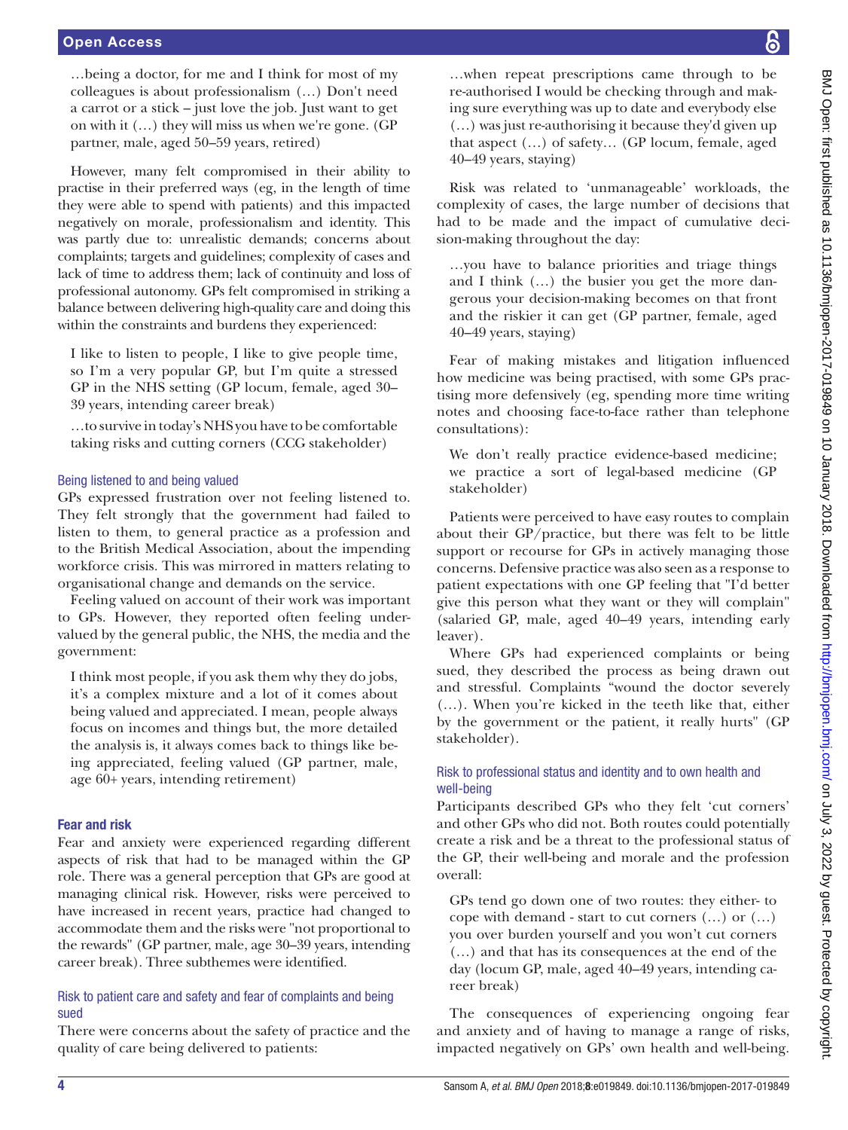# Open Access

…being a doctor, for me and I think for most of my colleagues is about professionalism (…) Don't need a carrot or a stick – just love the job. Just want to get on with it (…) they will miss us when we're gone. (GP partner, male, aged 50–59 years, retired)

However, many felt compromised in their ability to practise in their preferred ways (eg, in the length of time they were able to spend with patients) and this impacted negatively on morale, professionalism and identity. This was partly due to: unrealistic demands; concerns about complaints; targets and guidelines; complexity of cases and lack of time to address them; lack of continuity and loss of professional autonomy. GPs felt compromised in striking a balance between delivering high-quality care and doing this within the constraints and burdens they experienced:

I like to listen to people, I like to give people time, so I'm a very popular GP, but I'm quite a stressed GP in the NHS setting (GP locum, female, aged 30– 39 years, intending career break)

…to survive in today's NHS you have to be comfortable taking risks and cutting corners (CCG stakeholder)

# Being listened to and being valued

GPs expressed frustration over not feeling listened to. They felt strongly that the government had failed to listen to them, to general practice as a profession and to the British Medical Association, about the impending workforce crisis. This was mirrored in matters relating to organisational change and demands on the service.

Feeling valued on account of their work was important to GPs. However, they reported often feeling undervalued by the general public, the NHS, the media and the government:

I think most people, if you ask them why they do jobs, it's a complex mixture and a lot of it comes about being valued and appreciated. I mean, people always focus on incomes and things but, the more detailed the analysis is, it always comes back to things like being appreciated, feeling valued (GP partner, male, age 60+ years, intending retirement)

# Fear and risk

Fear and anxiety were experienced regarding different aspects of risk that had to be managed within the GP role. There was a general perception that GPs are good at managing clinical risk. However, risks were perceived to have increased in recent years, practice had changed to accommodate them and the risks were "not proportional to the rewards" (GP partner, male, age 30–39 years, intending career break). Three subthemes were identified.

# Risk to patient care and safety and fear of complaints and being sued

There were concerns about the safety of practice and the quality of care being delivered to patients:

…when repeat prescriptions came through to be re-authorised I would be checking through and making sure everything was up to date and everybody else (…) was just re-authorising it because they'd given up that aspect (…) of safety… (GP locum, female, aged 40–49 years, staying)

Risk was related to 'unmanageable' workloads, the complexity of cases, the large number of decisions that had to be made and the impact of cumulative decision-making throughout the day:

…you have to balance priorities and triage things and I think (…) the busier you get the more dangerous your decision-making becomes on that front and the riskier it can get (GP partner, female, aged 40–49 years, staying)

Fear of making mistakes and litigation influenced how medicine was being practised, with some GPs practising more defensively (eg, spending more time writing notes and choosing face-to-face rather than telephone consultations):

We don't really practice evidence-based medicine; we practice a sort of legal-based medicine (GP stakeholder)

Patients were perceived to have easy routes to complain about their GP/practice, but there was felt to be little support or recourse for GPs in actively managing those concerns. Defensive practice was also seen as a response to patient expectations with one GP feeling that "I'd better give this person what they want or they will complain" (salaried GP, male, aged 40–49 years, intending early leaver).

Where GPs had experienced complaints or being sued, they described the process as being drawn out and stressful. Complaints "wound the doctor severely (…). When you're kicked in the teeth like that, either by the government or the patient, it really hurts" (GP stakeholder).

# Risk to professional status and identity and to own health and well-being

Participants described GPs who they felt 'cut corners' and other GPs who did not. Both routes could potentially create a risk and be a threat to the professional status of the GP, their well-being and morale and the profession overall:

GPs tend go down one of two routes: they either- to cope with demand - start to cut corners (…) or (…) you over burden yourself and you won't cut corners (…) and that has its consequences at the end of the day (locum GP, male, aged 40–49 years, intending career break)

The consequences of experiencing ongoing fear and anxiety and of having to manage a range of risks, impacted negatively on GPs' own health and well-being.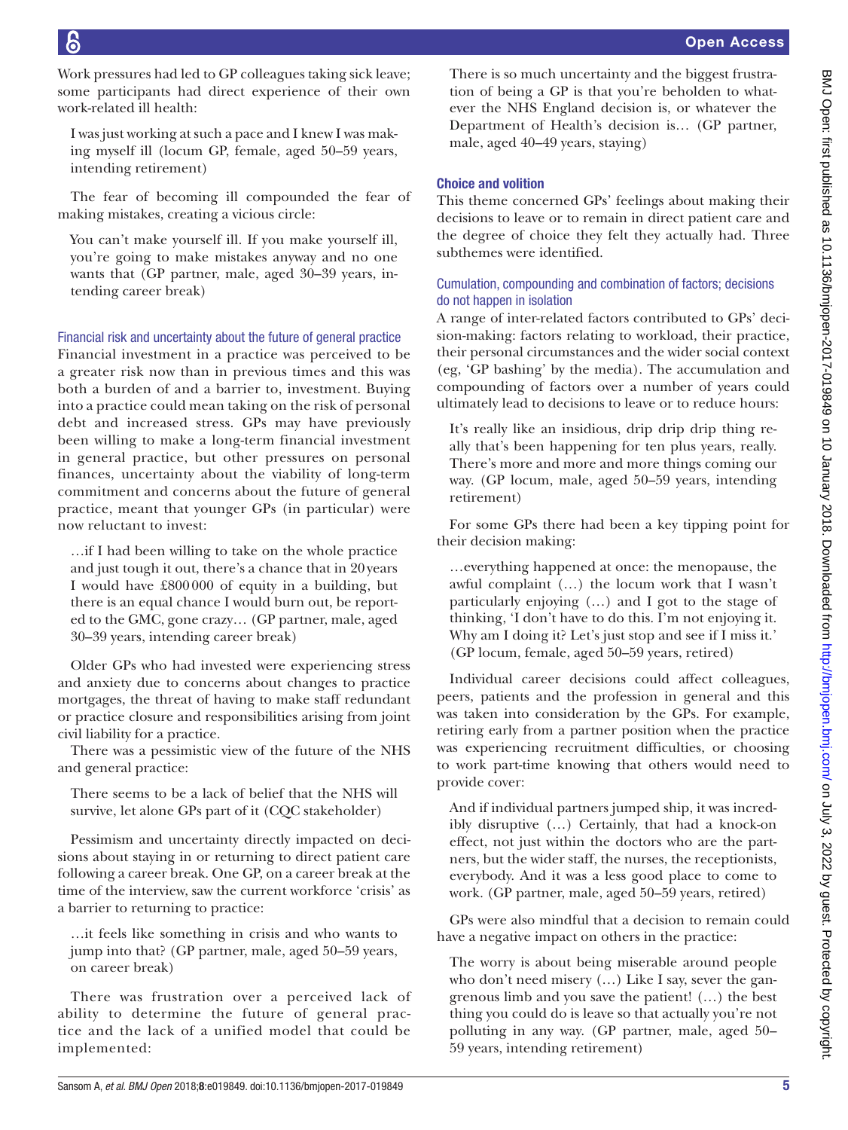Work pressures had led to GP colleagues taking sick leave; some participants had direct experience of their own work-related ill health:

I was just working at such a pace and I knew I was making myself ill (locum GP, female, aged 50–59 years, intending retirement)

The fear of becoming ill compounded the fear of making mistakes, creating a vicious circle:

You can't make yourself ill. If you make yourself ill, you're going to make mistakes anyway and no one wants that (GP partner, male, aged 30–39 years, intending career break)

Financial risk and uncertainty about the future of general practice

Financial investment in a practice was perceived to be a greater risk now than in previous times and this was both a burden of and a barrier to, investment. Buying into a practice could mean taking on the risk of personal debt and increased stress. GPs may have previously been willing to make a long-term financial investment in general practice, but other pressures on personal finances, uncertainty about the viability of long-term commitment and concerns about the future of general practice, meant that younger GPs (in particular) were now reluctant to invest:

…if I had been willing to take on the whole practice and just tough it out, there's a chance that in 20years I would have £800000 of equity in a building, but there is an equal chance I would burn out, be reported to the GMC, gone crazy… (GP partner, male, aged 30–39 years, intending career break)

Older GPs who had invested were experiencing stress and anxiety due to concerns about changes to practice mortgages, the threat of having to make staff redundant or practice closure and responsibilities arising from joint civil liability for a practice.

There was a pessimistic view of the future of the NHS and general practice:

There seems to be a lack of belief that the NHS will survive, let alone GPs part of it (CQC stakeholder)

Pessimism and uncertainty directly impacted on decisions about staying in or returning to direct patient care following a career break. One GP, on a career break at the time of the interview, saw the current workforce 'crisis' as a barrier to returning to practice:

…it feels like something in crisis and who wants to jump into that? (GP partner, male, aged 50–59 years, on career break)

There was frustration over a perceived lack of ability to determine the future of general practice and the lack of a unified model that could be implemented:

There is so much uncertainty and the biggest frustration of being a GP is that you're beholden to whatever the NHS England decision is, or whatever the Department of Health's decision is… (GP partner, male, aged 40–49 years, staying)

# Choice and volition

This theme concerned GPs' feelings about making their decisions to leave or to remain in direct patient care and the degree of choice they felt they actually had. Three subthemes were identified.

# Cumulation, compounding and combination of factors; decisions do not happen in isolation

A range of inter-related factors contributed to GPs' decision-making: factors relating to workload, their practice, their personal circumstances and the wider social context (eg, 'GP bashing' by the media). The accumulation and compounding of factors over a number of years could ultimately lead to decisions to leave or to reduce hours:

It's really like an insidious, drip drip drip thing really that's been happening for ten plus years, really. There's more and more and more things coming our way. (GP locum, male, aged 50–59 years, intending retirement)

For some GPs there had been a key tipping point for their decision making:

…everything happened at once: the menopause, the awful complaint (…) the locum work that I wasn't particularly enjoying (…) and I got to the stage of thinking, 'I don't have to do this. I'm not enjoying it. Why am I doing it? Let's just stop and see if I miss it.' (GP locum, female, aged 50–59 years, retired)

Individual career decisions could affect colleagues, peers, patients and the profession in general and this was taken into consideration by the GPs. For example, retiring early from a partner position when the practice was experiencing recruitment difficulties, or choosing to work part-time knowing that others would need to provide cover:

And if individual partners jumped ship, it was incredibly disruptive (…) Certainly, that had a knock-on effect, not just within the doctors who are the partners, but the wider staff, the nurses, the receptionists, everybody. And it was a less good place to come to work. (GP partner, male, aged 50–59 years, retired)

GPs were also mindful that a decision to remain could have a negative impact on others in the practice:

The worry is about being miserable around people who don't need misery (…) Like I say, sever the gangrenous limb and you save the patient! (…) the best thing you could do is leave so that actually you're not polluting in any way. (GP partner, male, aged 50– 59 years, intending retirement)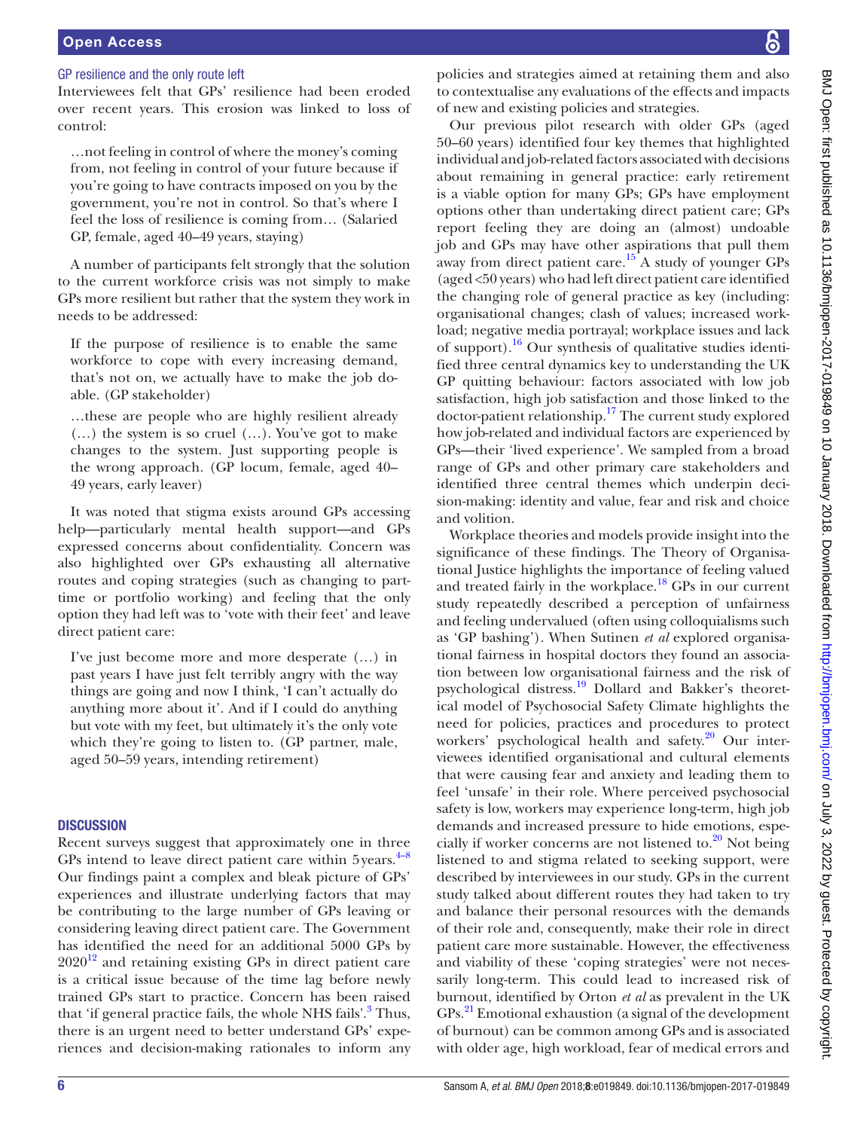#### GP resilience and the only route left

Interviewees felt that GPs' resilience had been eroded over recent years. This erosion was linked to loss of control:

…not feeling in control of where the money's coming from, not feeling in control of your future because if you're going to have contracts imposed on you by the government, you're not in control. So that's where I feel the loss of resilience is coming from… (Salaried GP, female, aged 40–49 years, staying)

A number of participants felt strongly that the solution to the current workforce crisis was not simply to make GPs more resilient but rather that the system they work in needs to be addressed:

If the purpose of resilience is to enable the same workforce to cope with every increasing demand, that's not on, we actually have to make the job doable. (GP stakeholder)

…these are people who are highly resilient already (…) the system is so cruel (…). You've got to make changes to the system. Just supporting people is the wrong approach. (GP locum, female, aged 40– 49 years, early leaver)

It was noted that stigma exists around GPs accessing help—particularly mental health support—and GPs expressed concerns about confidentiality. Concern was also highlighted over GPs exhausting all alternative routes and coping strategies (such as changing to parttime or portfolio working) and feeling that the only option they had left was to 'vote with their feet' and leave direct patient care:

I've just become more and more desperate (…) in past years I have just felt terribly angry with the way things are going and now I think, 'I can't actually do anything more about it'. And if I could do anything but vote with my feet, but ultimately it's the only vote which they're going to listen to. (GP partner, male, aged 50–59 years, intending retirement)

# **DISCUSSION**

Recent surveys suggest that approximately one in three GPs intend to leave direct patient care within  $5$ years. $4-8$ Our findings paint a complex and bleak picture of GPs' experiences and illustrate underlying factors that may be contributing to the large number of GPs leaving or considering leaving direct patient care. The Government has identified the need for an additional 5000 GPs by  $2020^{12}$  $2020^{12}$  $2020^{12}$  and retaining existing GPs in direct patient care is a critical issue because of the time lag before newly trained GPs start to practice. Concern has been raised that 'if general practice fails, the whole NHS fails'.<sup>[3](#page-6-2)</sup> Thus, there is an urgent need to better understand GPs' experiences and decision-making rationales to inform any

policies and strategies aimed at retaining them and also to contextualise any evaluations of the effects and impacts of new and existing policies and strategies.

Our previous pilot research with older GPs (aged 50–60 years) identified four key themes that highlighted individual and job-related factors associated with decisions about remaining in general practice: early retirement is a viable option for many GPs; GPs have employment options other than undertaking direct patient care; GPs report feeling they are doing an (almost) undoable job and GPs may have other aspirations that pull them away from direct patient care.<sup>15</sup> A study of younger GPs (aged <50 years) who had left direct patient care identified the changing role of general practice as key (including: organisational changes; clash of values; increased workload; negative media portrayal; workplace issues and lack of support).<sup>16</sup> Our synthesis of qualitative studies identified three central dynamics key to understanding the UK GP quitting behaviour: factors associated with low job satisfaction, high job satisfaction and those linked to the doctor-patient relationship[.17](#page-7-9) The current study explored how job-related and individual factors are experienced by GPs—their 'lived experience'. We sampled from a broad range of GPs and other primary care stakeholders and identified three central themes which underpin decision-making: identity and value, fear and risk and choice and volition.

Workplace theories and models provide insight into the significance of these findings. The Theory of Organisational Justice highlights the importance of feeling valued and treated fairly in the workplace.<sup>18</sup> GPs in our current study repeatedly described a perception of unfairness and feeling undervalued (often using colloquialisms such as 'GP bashing'). When Sutinen *et al* explored organisational fairness in hospital doctors they found an association between low organisational fairness and the risk of psychological distress.<sup>19</sup> Dollard and Bakker's theoretical model of Psychosocial Safety Climate highlights the need for policies, practices and procedures to protect workers' psychological health and safety.<sup>20</sup> Our interviewees identified organisational and cultural elements that were causing fear and anxiety and leading them to feel 'unsafe' in their role. Where perceived psychosocial safety is low, workers may experience long-term, high job demands and increased pressure to hide emotions, especially if worker concerns are not listened to. $20$  Not being listened to and stigma related to seeking support, were described by interviewees in our study. GPs in the current study talked about different routes they had taken to try and balance their personal resources with the demands of their role and, consequently, make their role in direct patient care more sustainable. However, the effectiveness and viability of these 'coping strategies' were not necessarily long-term. This could lead to increased risk of burnout, identified by Orton *et al* as prevalent in the UK GPs.<sup>21</sup> Emotional exhaustion (a signal of the development of burnout) can be common among GPs and is associated with older age, high workload, fear of medical errors and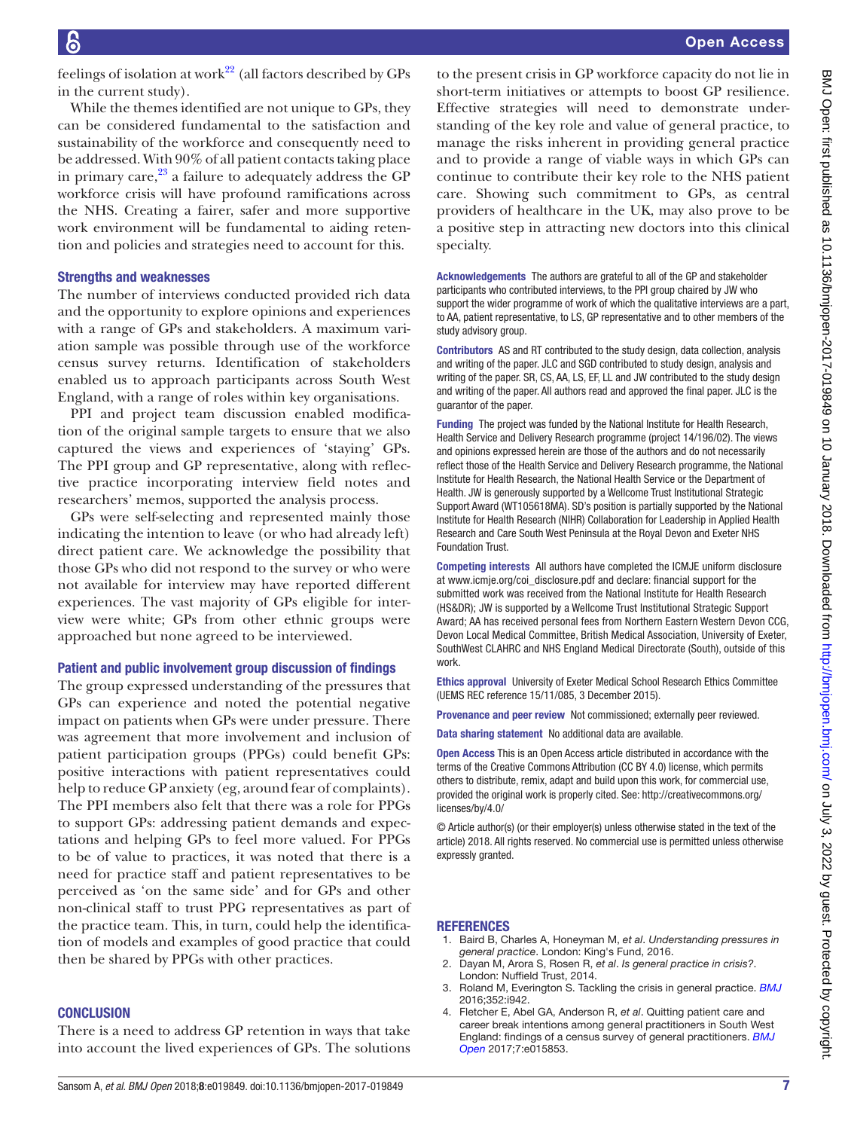feelings of isolation at work<sup>22</sup> (all factors described by GPs in the current study).

While the themes identified are not unique to GPs, they can be considered fundamental to the satisfaction and sustainability of the workforce and consequently need to be addressed. With 90% of all patient contacts taking place in primary care, $^{23}$  a failure to adequately address the GP workforce crisis will have profound ramifications across the NHS. Creating a fairer, safer and more supportive work environment will be fundamental to aiding retention and policies and strategies need to account for this.

## Strengths and weaknesses

The number of interviews conducted provided rich data and the opportunity to explore opinions and experiences with a range of GPs and stakeholders. A maximum variation sample was possible through use of the workforce census survey returns. Identification of stakeholders enabled us to approach participants across South West England, with a range of roles within key organisations.

PPI and project team discussion enabled modification of the original sample targets to ensure that we also captured the views and experiences of 'staying' GPs. The PPI group and GP representative, along with reflective practice incorporating interview field notes and researchers' memos, supported the analysis process.

GPs were self-selecting and represented mainly those indicating the intention to leave (or who had already left) direct patient care. We acknowledge the possibility that those GPs who did not respond to the survey or who were not available for interview may have reported different experiences. The vast majority of GPs eligible for interview were white; GPs from other ethnic groups were approached but none agreed to be interviewed.

## Patient and public involvement group discussion of findings

The group expressed understanding of the pressures that GPs can experience and noted the potential negative impact on patients when GPs were under pressure. There was agreement that more involvement and inclusion of patient participation groups (PPGs) could benefit GPs: positive interactions with patient representatives could help to reduce GP anxiety (eg, around fear of complaints). The PPI members also felt that there was a role for PPGs to support GPs: addressing patient demands and expectations and helping GPs to feel more valued. For PPGs to be of value to practices, it was noted that there is a need for practice staff and patient representatives to be perceived as 'on the same side' and for GPs and other non-clinical staff to trust PPG representatives as part of the practice team. This, in turn, could help the identification of models and examples of good practice that could then be shared by PPGs with other practices.

## **CONCLUSION**

There is a need to address GP retention in ways that take into account the lived experiences of GPs. The solutions to the present crisis in GP workforce capacity do not lie in short-term initiatives or attempts to boost GP resilience. Effective strategies will need to demonstrate understanding of the key role and value of general practice, to manage the risks inherent in providing general practice and to provide a range of viable ways in which GPs can continue to contribute their key role to the NHS patient care. Showing such commitment to GPs, as central providers of healthcare in the UK, may also prove to be a positive step in attracting new doctors into this clinical specialty.

Acknowledgements The authors are grateful to all of the GP and stakeholder participants who contributed interviews, to the PPI group chaired by JW who support the wider programme of work of which the qualitative interviews are a part, to AA, patient representative, to LS, GP representative and to other members of the study advisory group.

Contributors AS and RT contributed to the study design, data collection, analysis and writing of the paper. JLC and SGD contributed to study design, analysis and writing of the paper. SR, CS, AA, LS, EF, LL and JW contributed to the study design and writing of the paper. All authors read and approved the final paper. JLC is the guarantor of the paper.

Funding The project was funded by the National Institute for Health Research, Health Service and Delivery Research programme (project 14/196/02). The views and opinions expressed herein are those of the authors and do not necessarily reflect those of the Health Service and Delivery Research programme, the National Institute for Health Research, the National Health Service or the Department of Health. JW is generously supported by a Wellcome Trust Institutional Strategic Support Award (WT105618MA). SD's position is partially supported by the National Institute for Health Research (NIHR) Collaboration for Leadership in Applied Health Research and Care South West Peninsula at the Royal Devon and Exeter NHS Foundation Trust.

Competing interests All authors have completed the ICMJE uniform disclosure at www.icmje.org/coi\_disclosure.pdf and declare: financial support for the submitted work was received from the National Institute for Health Research (HS&DR); JW is supported by a Wellcome Trust Institutional Strategic Support Award; AA has received personal fees from Northern Eastern Western Devon CCG, Devon Local Medical Committee, British Medical Association, University of Exeter, SouthWest CLAHRC and NHS England Medical Directorate (South), outside of this work.

Ethics approval University of Exeter Medical School Research Ethics Committee (UEMS REC reference 15/11/085, 3 December 2015).

Provenance and peer review Not commissioned; externally peer reviewed.

Data sharing statement No additional data are available.

Open Access This is an Open Access article distributed in accordance with the terms of the Creative Commons Attribution (CC BY 4.0) license, which permits others to distribute, remix, adapt and build upon this work, for commercial use, provided the original work is properly cited. See: [http://creativecommons.org/](http://creativecommons.org/licenses/by/4.0/) [licenses/by/4.0/](http://creativecommons.org/licenses/by/4.0/)

© Article author(s) (or their employer(s) unless otherwise stated in the text of the article) 2018. All rights reserved. No commercial use is permitted unless otherwise expressly granted.

#### **REFERENCES**

- <span id="page-6-0"></span>1. Baird B, Charles A, Honeyman M, *et al*. *Understanding pressures in general practice*. London: King's Fund, 2016.
- 2. Dayan M, Arora S, Rosen R, *et al*. *Is general practice in crisis?*. London: Nuffield Trust, 2014.
- <span id="page-6-2"></span>3. Roland M, Everington S. Tackling the crisis in general practice. *[BMJ](http://dx.doi.org/10.1136/bmj.i942)* 2016;352:i942.
- <span id="page-6-1"></span>4. Fletcher E, Abel GA, Anderson R, *et al*. Quitting patient care and career break intentions among general practitioners in South West England: findings of a census survey of general practitioners. *[BMJ](http://dx.doi.org/10.1136/bmjopen-2017-015853)  [Open](http://dx.doi.org/10.1136/bmjopen-2017-015853)* 2017;7:e015853.